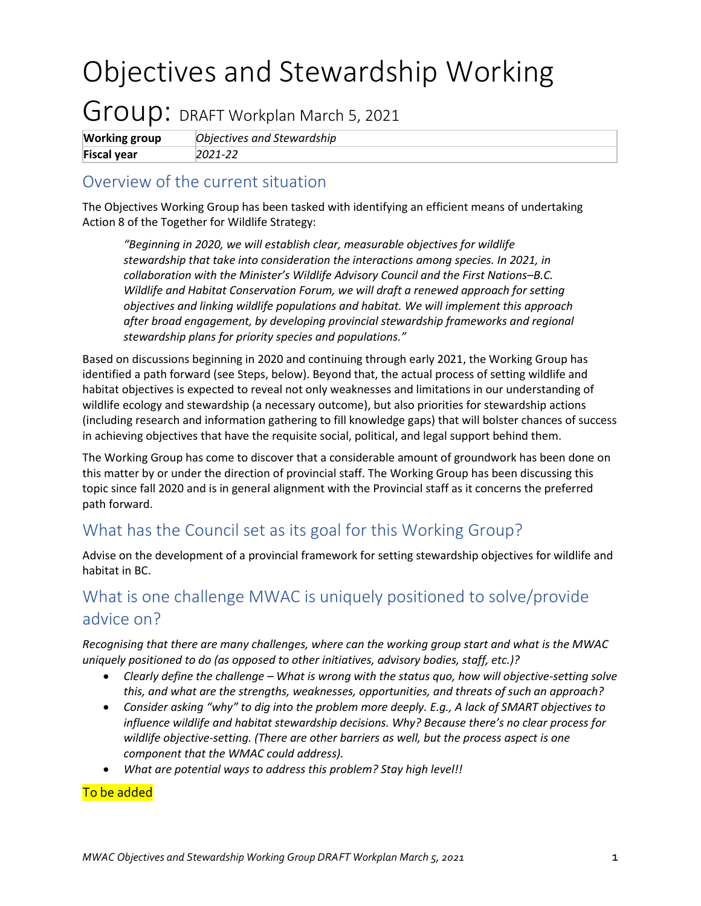# Objectives and Stewardship Working

## Group: DRAFT Workplan March 5, 2021

| <b>Working group</b> | Objectives and Stewardship |
|----------------------|----------------------------|
| <b>Fiscal year</b>   | $2021 - 22$                |

#### Overview of the current situation

The Objectives Working Group has been tasked with identifying an efficient means of undertaking Action 8 of the Together for Wildlife Strategy:

*"Beginning in 2020, we will establish clear, measurable objectives for wildlife stewardship that take into consideration the interactions among species. In 2021, in collaboration with the Minister's Wildlife Advisory Council and the First Nations–B.C. Wildlife and Habitat Conservation Forum, we will draft a renewed approach for setting objectives and linking wildlife populations and habitat. We will implement this approach after broad engagement, by developing provincial stewardship frameworks and regional stewardship plans for priority species and populations."* 

Based on discussions beginning in 2020 and continuing through early 2021, the Working Group has identified a path forward (see Steps, below). Beyond that, the actual process of setting wildlife and habitat objectives is expected to reveal not only weaknesses and limitations in our understanding of wildlife ecology and stewardship (a necessary outcome), but also priorities for stewardship actions (including research and information gathering to fill knowledge gaps) that will bolster chances of success in achieving objectives that have the requisite social, political, and legal support behind them.

The Working Group has come to discover that a considerable amount of groundwork has been done on this matter by or under the direction of provincial staff. The Working Group has been discussing this topic since fall 2020 and is in general alignment with the Provincial staff as it concerns the preferred path forward.

#### What has the Council set as its goal for this Working Group?

Advise on the development of a provincial framework for setting stewardship objectives for wildlife and habitat in BC.

#### What is one challenge MWAC is uniquely positioned to solve/provide advice on?

*Recognising that there are many challenges, where can the working group start and what is the MWAC uniquely positioned to do (as opposed to other initiatives, advisory bodies, staff, etc.)?* 

- *Clearly define the challenge – What is wrong with the status quo, how will objective-setting solve this, and what are the strengths, weaknesses, opportunities, and threats of such an approach?*
- *Consider asking "why" to dig into the problem more deeply. E.g., A lack of SMART objectives to influence wildlife and habitat stewardship decisions. Why? Because there's no clear process for wildlife objective-setting. (There are other barriers as well, but the process aspect is one component that the WMAC could address).*
- *What are potential ways to address this problem? Stay high level!!*

#### To be added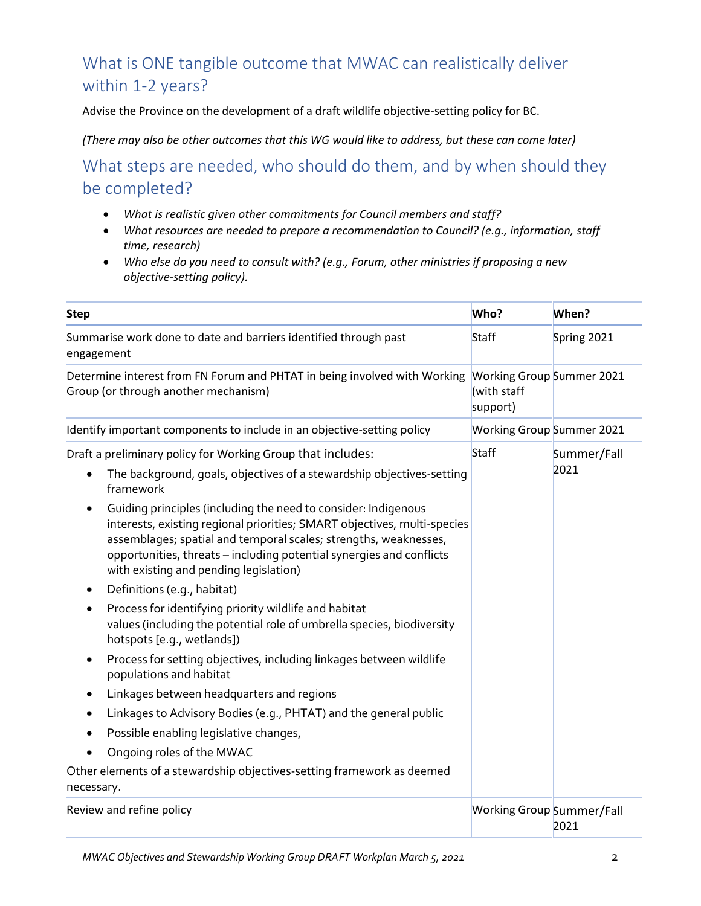### What is ONE tangible outcome that MWAC can realistically deliver within 1-2 years?

Advise the Province on the development of a draft wildlife objective-setting policy for BC.

*(There may also be other outcomes that this WG would like to address, but these can come later)* 

What steps are needed, who should do them, and by when should they be completed?

- *What is realistic given other commitments for Council members and staff?*
- *What resources are needed to prepare a recommendation to Council? (e.g., information, staff time, research)*
- *Who else do you need to consult with? (e.g., Forum, other ministries if proposing a new objective-setting policy).*

| <b>Step</b>                                                                                                                                                                                                                                                                                                                                                                                                                                                                                                                                                                                                                                                                                                                                                                                                                                                                                                                                                                                                                                                                                    | Who?                                                        | When?               |
|------------------------------------------------------------------------------------------------------------------------------------------------------------------------------------------------------------------------------------------------------------------------------------------------------------------------------------------------------------------------------------------------------------------------------------------------------------------------------------------------------------------------------------------------------------------------------------------------------------------------------------------------------------------------------------------------------------------------------------------------------------------------------------------------------------------------------------------------------------------------------------------------------------------------------------------------------------------------------------------------------------------------------------------------------------------------------------------------|-------------------------------------------------------------|---------------------|
| Summarise work done to date and barriers identified through past<br>engagement                                                                                                                                                                                                                                                                                                                                                                                                                                                                                                                                                                                                                                                                                                                                                                                                                                                                                                                                                                                                                 | <b>Staff</b>                                                | Spring 2021         |
| Determine interest from FN Forum and PHTAT in being involved with Working<br>Group (or through another mechanism)                                                                                                                                                                                                                                                                                                                                                                                                                                                                                                                                                                                                                                                                                                                                                                                                                                                                                                                                                                              | <b>Working Group Summer 2021</b><br>(with staff<br>support) |                     |
| Identify important components to include in an objective-setting policy                                                                                                                                                                                                                                                                                                                                                                                                                                                                                                                                                                                                                                                                                                                                                                                                                                                                                                                                                                                                                        | <b>Working Group Summer 2021</b>                            |                     |
| Draft a preliminary policy for Working Group that includes:<br>The background, goals, objectives of a stewardship objectives-setting<br>framework<br>Guiding principles (including the need to consider: Indigenous<br>interests, existing regional priorities; SMART objectives, multi-species<br>assemblages; spatial and temporal scales; strengths, weaknesses,<br>opportunities, threats - including potential synergies and conflicts<br>with existing and pending legislation)<br>Definitions (e.g., habitat)<br>٠<br>Process for identifying priority wildlife and habitat<br>values (including the potential role of umbrella species, biodiversity<br>hotspots [e.g., wetlands])<br>Process for setting objectives, including linkages between wildlife<br>٠<br>populations and habitat<br>Linkages between headquarters and regions<br>Linkages to Advisory Bodies (e.g., PHTAT) and the general public<br>Possible enabling legislative changes,<br>$\bullet$<br>Ongoing roles of the MWAC<br>Other elements of a stewardship objectives-setting framework as deemed<br>necessary. | <b>Staff</b>                                                | Summer/Fall<br>2021 |
| Review and refine policy                                                                                                                                                                                                                                                                                                                                                                                                                                                                                                                                                                                                                                                                                                                                                                                                                                                                                                                                                                                                                                                                       | <b>Working Group Summer/Fall</b>                            |                     |
|                                                                                                                                                                                                                                                                                                                                                                                                                                                                                                                                                                                                                                                                                                                                                                                                                                                                                                                                                                                                                                                                                                |                                                             | 2021                |